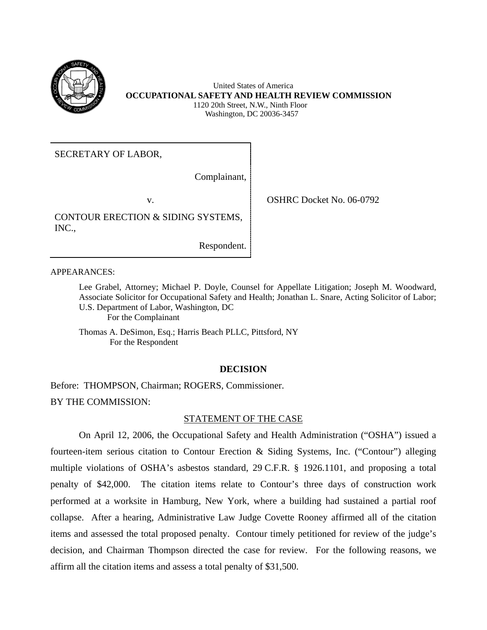

 United States of America **OCCUPATIONAL SAFETY AND HEALTH REVIEW COMMISSION**  1120 20th Street, N.W., Ninth Floor Washington, DC 20036-3457

SECRETARY OF LABOR,

Complainant,

CONTOUR ERECTION & SIDING SYSTEMS, INC.,

Respondent.

APPEARANCES:

Lee Grabel, Attorney; Michael P. Doyle, Counsel for Appellate Litigation; Joseph M. Woodward, Associate Solicitor for Occupational Safety and Health; Jonathan L. Snare, Acting Solicitor of Labor; U.S. Department of Labor, Washington, DC For the Complainant

Thomas A. DeSimon, Esq.; Harris Beach PLLC, Pittsford, NY For the Respondent

# **DECISION**

Before: THOMPSON, Chairman; ROGERS, Commissioner. BY THE COMMISSION:

# STATEMENT OF THE CASE

On April 12, 2006, the Occupational Safety and Health Administration ("OSHA") issued a fourteen-item serious citation to Contour Erection & Siding Systems, Inc. ("Contour") alleging multiple violations of OSHA's asbestos standard, 29 C.F.R. § 1926.1101, and proposing a total penalty of \$42,000. The citation items relate to Contour's three days of construction work performed at a worksite in Hamburg, New York, where a building had sustained a partial roof collapse. After a hearing, Administrative Law Judge Covette Rooney affirmed all of the citation items and assessed the total proposed penalty. Contour timely petitioned for review of the judge's decision, and Chairman Thompson directed the case for review. For the following reasons, we affirm all the citation items and assess a total penalty of \$31,500.

v. OSHRC Docket No. 06-0792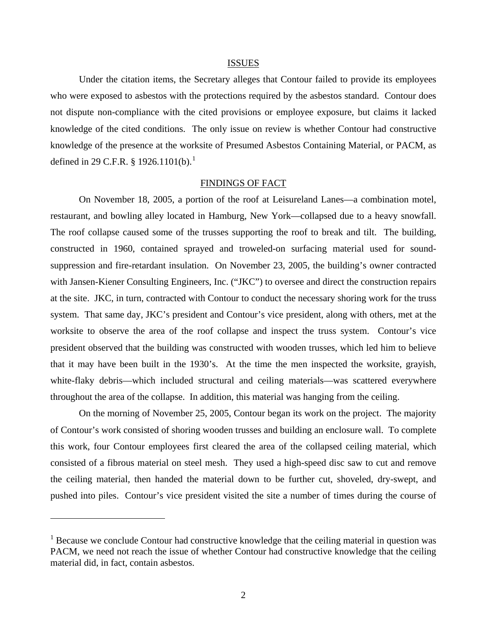#### ISSUES

Under the citation items, the Secretary alleges that Contour failed to provide its employees who were exposed to asbestos with the protections required by the asbestos standard. Contour does not dispute non-compliance with the cited provisions or employee exposure, but claims it lacked knowledge of the cited conditions. The only issue on review is whether Contour had constructive knowledge of the presence at the worksite of Presumed Asbestos Containing Material, or PACM, as defined in 29 C.F.R. § 1926.1101(b).

### FINDINGS OF FACT

On November 18, 2005, a portion of the roof at Leisureland Lanes—a combination motel, restaurant, and bowling alley located in Hamburg, New York—collapsed due to a heavy snowfall. The roof collapse caused some of the trusses supporting the roof to break and tilt. The building, constructed in 1960, contained sprayed and troweled-on surfacing material used for soundsuppression and fire-retardant insulation. On November 23, 2005, the building's owner contracted with Jansen-Kiener Consulting Engineers, Inc. ("JKC") to oversee and direct the construction repairs at the site. JKC, in turn, contracted with Contour to conduct the necessary shoring work for the truss system. That same day, JKC's president and Contour's vice president, along with others, met at the worksite to observe the area of the roof collapse and inspect the truss system. Contour's vice president observed that the building was constructed with wooden trusses, which led him to believe that it may have been built in the 1930's. At the time the men inspected the worksite, grayish, white-flaky debris—which included structural and ceiling materials—was scattered everywhere throughout the area of the collapse. In addition, this material was hanging from the ceiling.

On the morning of November 25, 2005, Contour began its work on the project. The majority of Contour's work consisted of shoring wooden trusses and building an enclosure wall. To complete this work, four Contour employees first cleared the area of the collapsed ceiling material, which consisted of a fibrous material on steel mesh. They used a high-speed disc saw to cut and remove the ceiling material, then handed the material down to be further cut, shoveled, dry-swept, and pushed into piles. Contour's vice president visited the site a number of times during the course of

 $\overline{a}$ 

<span id="page-1-0"></span><sup>&</sup>lt;sup>1</sup> Because we conclude Contour had constructive knowledge that the ceiling material in question was PACM, we need not reach the issue of whether Contour had constructive knowledge that the ceiling material did, in fact, contain asbestos.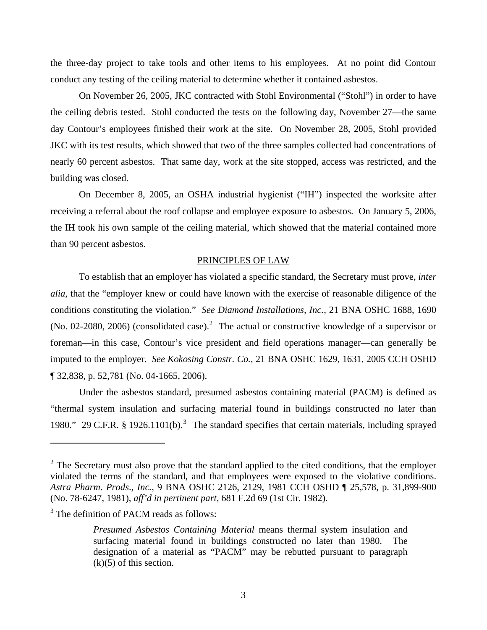the three-day project to take tools and other items to his employees. At no point did Contour conduct any testing of the ceiling material to determine whether it contained asbestos.

On November 26, 2005, JKC contracted with Stohl Environmental ("Stohl") in order to have the ceiling debris tested. Stohl conducted the tests on the following day, November 27—the same day Contour's employees finished their work at the site. On November 28, 2005, Stohl provided JKC with its test results, which showed that two of the three samples collected had concentrations of nearly 60 percent asbestos. That same day, work at the site stopped, access was restricted, and the building was closed.

On December 8, 2005, an OSHA industrial hygienist ("IH") inspected the worksite after receiving a referral about the roof collapse and employee exposure to asbestos. On January 5, 2006, the IH took his own sample of the ceiling material, which showed that the material contained more than 90 percent asbestos.

### PRINCIPLES OF LAW

To establish that an employer has violated a specific standard, the Secretary must prove, *inter alia*, that the "employer knew or could have known with the exercise of reasonable diligence of the conditions constituting the violation." *See Diamond Installations, Inc.*, 21 BNA OSHC 1688, 1690 (No. 0[2](#page-2-0)-2080, 2006) (consolidated case).<sup>2</sup> The actual or constructive knowledge of a supervisor or foreman—in this case, Contour's vice president and field operations manager—can generally be imputed to the employer. *See Kokosing Constr. Co.*, 21 BNA OSHC 1629, 1631, 2005 CCH OSHD ¶ 32,838, p. 52,781 (No. 04-1665, 2006).

Under the asbestos standard, presumed asbestos containing material (PACM) is defined as "thermal system insulation and surfacing material found in buildings constructed no later than 1980." 29 C.F.R. § 1926.1101(b).<sup>[3](#page-2-1)</sup> The standard specifies that certain materials, including sprayed

 $\overline{a}$ 

<span id="page-2-0"></span> $2^2$  The Secretary must also prove that the standard applied to the cited conditions, that the employer violated the terms of the standard, and that employees were exposed to the violative conditions. *Astra Pharm*. *Prods*.*, Inc.*, 9 BNA OSHC 2126, 2129, 1981 CCH OSHD ¶ 25,578, p. 31,899-900 (No. 78-6247, 1981), *aff'd in pertinent part*, 681 F.2d 69 (1st Cir. 1982).

<span id="page-2-1"></span><sup>&</sup>lt;sup>3</sup> The definition of PACM reads as follows:

*Presumed Asbestos Containing Material* means thermal system insulation and surfacing material found in buildings constructed no later than 1980. The designation of a material as "PACM" may be rebutted pursuant to paragraph  $(k)(5)$  of this section.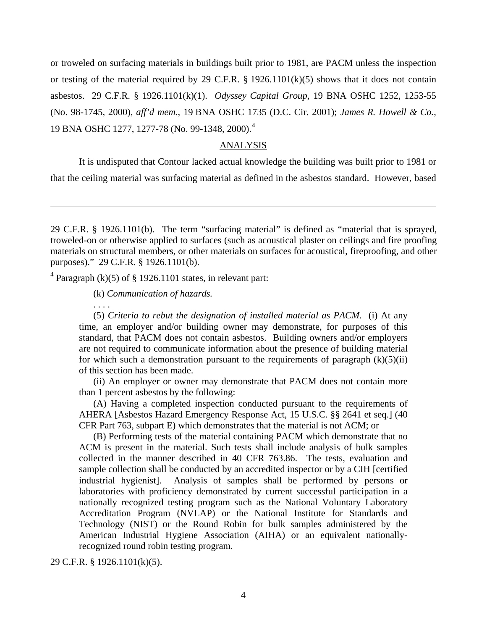19 BNA OSHC 1277, 1277-78 (No. 99-1348, 2000).[4](#page-3-0)  or troweled on surfacing materials in buildings built prior to 1981, are PACM unless the inspection or testing of the material required by 29 C.F.R. § 1926.1101(k)(5) shows that it does not contain asbestos. 29 C.F.R. § 1926.1101(k)(1). *Odyssey Capital Group*, 19 BNA OSHC 1252, 1253-55 (No. 98-1745, 2000), *aff'd mem.*, 19 BNA OSHC 1735 (D.C. Cir. 2001); *James R. Howell & Co.*,

## ANALYSIS

It is undisputed that Contour lacked actual knowledge the building was built prior to 1981 or

that the ceiling material was surfacing material as defined in the asbestos standard. However, based

<span id="page-3-0"></span><sup>4</sup> Paragraph (k)(5) of § 1926.1101 states, in relevant part:

(k) *Communication of hazards.*

. . . .

 $\overline{a}$ 

(5) *Criteria to rebut the designation of installed material as PACM.* (i) At any time, an employer and/or building owner may demonstrate, for purposes of this standard, that PACM does not contain asbestos. Building owners and/or employers are not required to communicate information about the presence of building material for which such a demonstration pursuant to the requirements of paragraph  $(k)(5)(ii)$ of this section has been made.

(ii) An employer or owner may demonstrate that PACM does not contain more than 1 percent asbestos by the following:

(A) Having a completed inspection conducted pursuant to the requirements of AHERA [Asbestos Hazard Emergency Response Act, 15 U.S.C. §§ 2641 et seq.] (40 CFR Part 763, subpart E) which demonstrates that the material is not ACM; or

(B) Performing tests of the material containing PACM which demonstrate that no ACM is present in the material. Such tests shall include analysis of bulk samples collected in the manner described in 40 CFR 763.86. The tests, evaluation and sample collection shall be conducted by an accredited inspector or by a CIH [certified industrial hygienist]. Analysis of samples shall be performed by persons or laboratories with proficiency demonstrated by current successful participation in a nationally recognized testing program such as the National Voluntary Laboratory Accreditation Program (NVLAP) or the National Institute for Standards and Technology (NIST) or the Round Robin for bulk samples administered by the American Industrial Hygiene Association (AIHA) or an equivalent nationallyrecognized round robin testing program.

29 C.F.R. § 1926.1101(k)(5).

<sup>29</sup> C.F.R. § 1926.1101(b). The term "surfacing material" is defined as "material that is sprayed, troweled-on or otherwise applied to surfaces (such as acoustical plaster on ceilings and fire proofing materials on structural members, or other materials on surfaces for acoustical, fireproofing, and other purposes)." 29 C.F.R. § 1926.1101(b).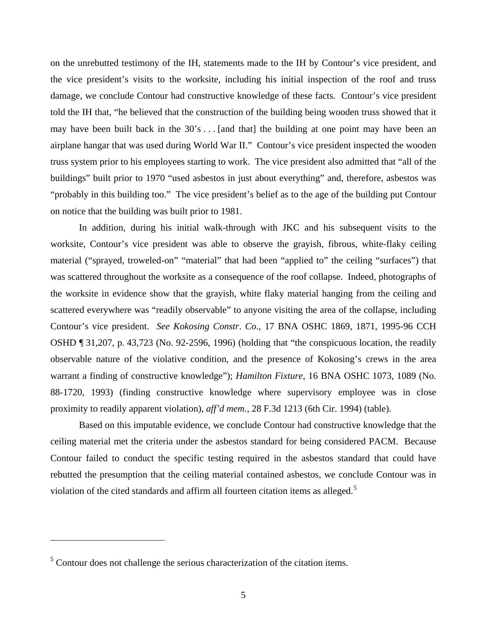on the unrebutted testimony of the IH, statements made to the IH by Contour's vice president, and the vice president's visits to the worksite, including his initial inspection of the roof and truss damage, we conclude Contour had constructive knowledge of these facts. Contour's vice president told the IH that, "he believed that the construction of the building being wooden truss showed that it may have been built back in the  $30's...$  [and that] the building at one point may have been an airplane hangar that was used during World War II." Contour's vice president inspected the wooden truss system prior to his employees starting to work. The vice president also admitted that "all of the buildings" built prior to 1970 "used asbestos in just about everything" and, therefore, asbestos was "probably in this building too." The vice president's belief as to the age of the building put Contour on notice that the building was built prior to 1981.

In addition, during his initial walk-through with JKC and his subsequent visits to the worksite, Contour's vice president was able to observe the grayish, fibrous, white-flaky ceiling material ("sprayed, troweled-on" "material" that had been "applied to" the ceiling "surfaces") that was scattered throughout the worksite as a consequence of the roof collapse. Indeed, photographs of the worksite in evidence show that the grayish, white flaky material hanging from the ceiling and scattered everywhere was "readily observable" to anyone visiting the area of the collapse, including Contour's vice president. *See Kokosing Constr*. *Co*., 17 BNA OSHC 1869, 1871, 1995-96 CCH OSHD ¶ 31,207, p. 43,723 (No. 92-2596, 1996) (holding that "the conspicuous location, the readily observable nature of the violative condition, and the presence of Kokosing's crews in the area warrant a finding of constructive knowledge"); *Hamilton Fixture*, 16 BNA OSHC 1073, 1089 (No. 88-1720, 1993) (finding constructive knowledge where supervisory employee was in close proximity to readily apparent violation), *aff'd mem.*, 28 F.3d 1213 (6th Cir. 1994) (table).

Based on this imputable evidence, we conclude Contour had constructive knowledge that the ceiling material met the criteria under the asbestos standard for being considered PACM. Because Contour failed to conduct the specific testing required in the asbestos standard that could have rebutted the presumption that the ceiling material contained asbestos, we conclude Contour was in violation of the cited standards and affirm all fourteen citation items as alleged.<sup>5</sup>

 $\overline{a}$ 

<span id="page-4-0"></span> $<sup>5</sup>$  Contour does not challenge the serious characterization of the citation items.</sup>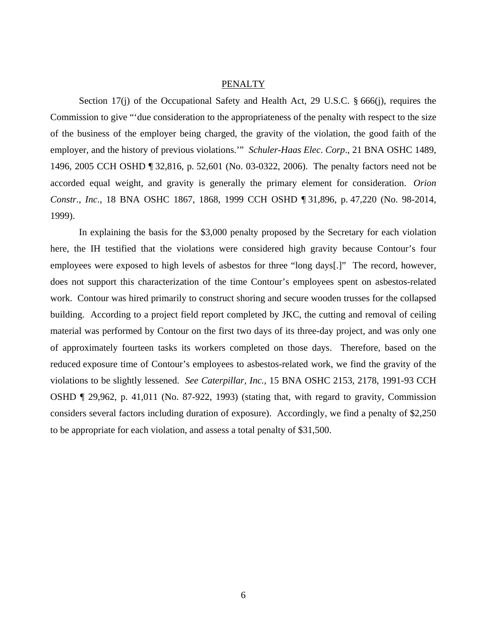## **PENALTY**

Section 17(j) of the Occupational Safety and Health Act, 29 U.S.C. § 666(j), requires the Commission to give "'due consideration to the appropriateness of the penalty with respect to the size of the business of the employer being charged, the gravity of the violation, the good faith of the employer, and the history of previous violations.'" *Schuler-Haas Elec*. *Corp*., 21 BNA OSHC 1489, 1496, 2005 CCH OSHD ¶ 32,816, p. 52,601 (No. 03-0322, 2006). The penalty factors need not be accorded equal weight, and gravity is generally the primary element for consideration. *Orion Constr*., *Inc*., 18 BNA OSHC 1867, 1868, 1999 CCH OSHD ¶ 31,896, p. 47,220 (No. 98-2014, 1999).

In explaining the basis for the \$3,000 penalty proposed by the Secretary for each violation here, the IH testified that the violations were considered high gravity because Contour's four employees were exposed to high levels of asbestos for three "long days[.]" The record, however, does not support this characterization of the time Contour's employees spent on asbestos-related work. Contour was hired primarily to construct shoring and secure wooden trusses for the collapsed building. According to a project field report completed by JKC, the cutting and removal of ceiling material was performed by Contour on the first two days of its three-day project, and was only one of approximately fourteen tasks its workers completed on those days. Therefore, based on the reduced exposure time of Contour's employees to asbestos-related work, we find the gravity of the violations to be slightly lessened. *See Caterpillar, Inc.*, 15 BNA OSHC 2153, 2178, 1991-93 CCH OSHD ¶ 29,962, p. 41,011 (No. 87-922, 1993) (stating that, with regard to gravity, Commission considers several factors including duration of exposure). Accordingly, we find a penalty of \$2,250 to be appropriate for each violation, and assess a total penalty of \$31,500.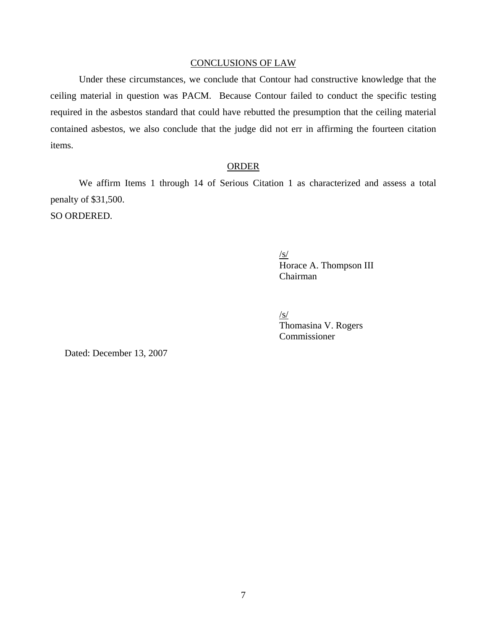## CONCLUSIONS OF LAW

Under these circumstances, we conclude that Contour had constructive knowledge that the ceiling material in question was PACM. Because Contour failed to conduct the specific testing required in the asbestos standard that could have rebutted the presumption that the ceiling material contained asbestos, we also conclude that the judge did not err in affirming the fourteen citation items.

# ORDER

We affirm Items 1 through 14 of Serious Citation 1 as characterized and assess a total penalty of \$31,500. SO ORDERED.

> $\frac{S}{S}$ Horace A. Thompson III Chairman

 $\sqrt{s/}$ Thomasina V. Rogers Commissioner

Dated: December 13, 2007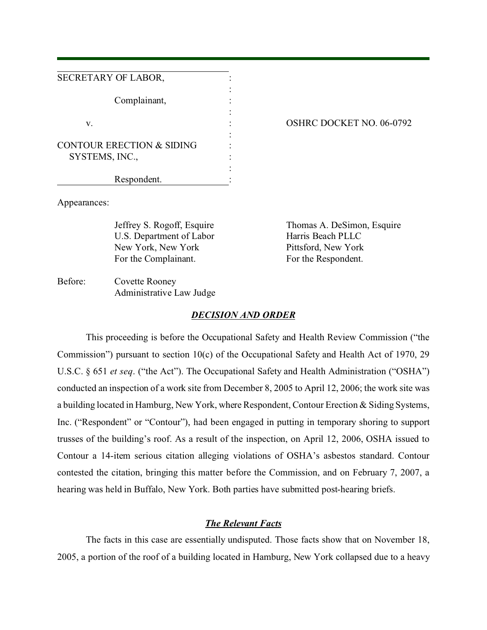| SECRETARY OF LABOR,                  |  |
|--------------------------------------|--|
|                                      |  |
| Complainant,                         |  |
|                                      |  |
|                                      |  |
| V.                                   |  |
|                                      |  |
| <b>CONTOUR ERECTION &amp; SIDING</b> |  |
| SYSTEMS, INC.,                       |  |
|                                      |  |
| Respondent.                          |  |

## OSHRC DOCKET NO. 06-0792

Appearances:

U.S. Department of Labor Harris Beach PLLC New York, New York Pittsford, New York For the Complainant. For the Respondent.

Jeffrey S. Rogoff, Esquire Thomas A. DeSimon, Esquire

Before: Covette Rooney Administrative Law Judge

## *DECISION AND ORDER*

This proceeding is before the Occupational Safety and Health Review Commission ("the Commission") pursuant to section 10(c) of the Occupational Safety and Health Act of 1970, 29 U.S.C. § 651 *et seq*. ("the Act"). The Occupational Safety and Health Administration ("OSHA") conducted an inspection of a work site from December 8, 2005 to April 12, 2006; the work site was a building located in Hamburg, New York, where Respondent, Contour Erection & Siding Systems, Inc. ("Respondent" or "Contour"), had been engaged in putting in temporary shoring to support trusses of the building's roof. As a result of the inspection, on April 12, 2006, OSHA issued to Contour a 14-item serious citation alleging violations of OSHA's asbestos standard. Contour contested the citation, bringing this matter before the Commission, and on February 7, 2007, a hearing was held in Buffalo, New York. Both parties have submitted post-hearing briefs.

## *The Relevant Facts*

The facts in this case are essentially undisputed. Those facts show that on November 18, 2005, a portion of the roof of a building located in Hamburg, New York collapsed due to a heavy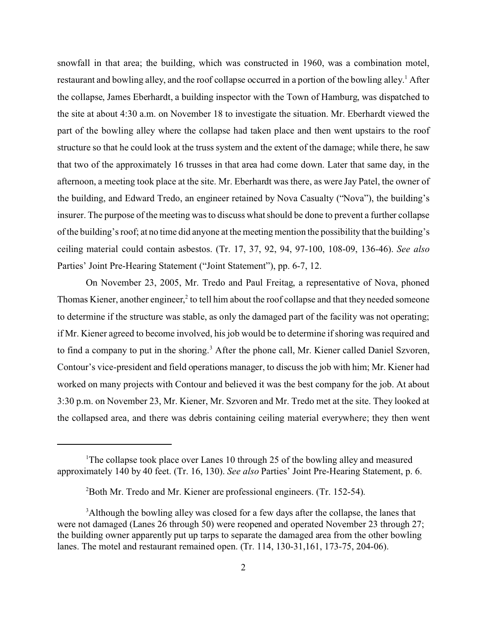snowfall in that area; the building, which was constructed in 1960, was a combination motel, restaurant and bowling alley, and the roof collapse occurred in a portion of the bowling alley.<sup>1</sup> After the collapse, James Eberhardt, a building inspector with the Town of Hamburg, was dispatched to the site at about 4:30 a.m. on November 18 to investigate the situation. Mr. Eberhardt viewed the part of the bowling alley where the collapse had taken place and then went upstairs to the roof structure so that he could look at the truss system and the extent of the damage; while there, he saw that two of the approximately 16 trusses in that area had come down. Later that same day, in the afternoon, a meeting took place at the site. Mr. Eberhardt was there, as were Jay Patel, the owner of the building, and Edward Tredo, an engineer retained by Nova Casualty ("Nova"), the building's insurer. The purpose of the meeting was to discuss what should be done to prevent a further collapse of the building's roof; at no time did anyone at the meeting mention the possibility that the building's ceiling material could contain asbestos. (Tr. 17, 37, 92, 94, 97-100, 108-09, 136-46). *See also*  Parties' Joint Pre-Hearing Statement ("Joint Statement"), pp. 6-7, 12.

On November 23, 2005, Mr. Tredo and Paul Freitag, a representative of Nova, phoned Thomas Kiener, another engineer,<sup>2</sup> to tell him about the roof collapse and that they needed someone to determine if the structure was stable, as only the damaged part of the facility was not operating; if Mr. Kiener agreed to become involved, his job would be to determine if shoring was required and to find a company to put in the shoring.<sup>3</sup> After the phone call, Mr. Kiener called Daniel Szvoren, Contour's vice-president and field operations manager, to discuss the job with him; Mr. Kiener had worked on many projects with Contour and believed it was the best company for the job. At about 3:30 p.m. on November 23, Mr. Kiener, Mr. Szvoren and Mr. Tredo met at the site. They looked at the collapsed area, and there was debris containing ceiling material everywhere; they then went

<sup>&</sup>lt;sup>1</sup>The collapse took place over Lanes 10 through 25 of the bowling alley and measured approximately 140 by 40 feet. (Tr. 16, 130). *See also* Parties' Joint Pre-Hearing Statement, p. 6.

<sup>&</sup>lt;sup>2</sup> Both Mr. Tredo and Mr. Kiener are professional engineers. (Tr. 152-54).

<sup>&</sup>lt;sup>3</sup>Although the bowling alley was closed for a few days after the collapse, the lanes that were not damaged (Lanes 26 through 50) were reopened and operated November 23 through 27; the building owner apparently put up tarps to separate the damaged area from the other bowling lanes. The motel and restaurant remained open. (Tr. 114, 130-31,161, 173-75, 204-06).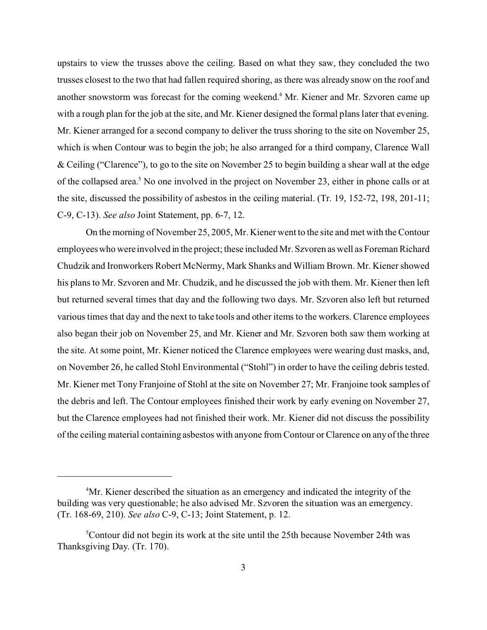upstairs to view the trusses above the ceiling. Based on what they saw, they concluded the two trusses closest to the two that had fallen required shoring, as there was already snow on the roof and another snowstorm was forecast for the coming weekend.<sup>4</sup> Mr. Kiener and Mr. Szvoren came up with a rough plan for the job at the site, and Mr. Kiener designed the formal plans later that evening. Mr. Kiener arranged for a second company to deliver the truss shoring to the site on November 25, which is when Contour was to begin the job; he also arranged for a third company, Clarence Wall & Ceiling ("Clarence"), to go to the site on November 25 to begin building a shear wall at the edge of the collapsed area.<sup>5</sup> No one involved in the project on November 23, either in phone calls or at the site, discussed the possibility of asbestos in the ceiling material. (Tr. 19, 152-72, 198, 201-11; C-9, C-13). *See also* Joint Statement, pp. 6-7, 12.

On the morning of November 25, 2005, Mr. Kiener went to the site and met with the Contour employees who were involved in the project; these included Mr. Szvoren as well as Foreman Richard Chudzik and Ironworkers Robert McNermy, Mark Shanks and William Brown. Mr. Kiener showed his plans to Mr. Szvoren and Mr. Chudzik, and he discussed the job with them. Mr. Kiener then left but returned several times that day and the following two days. Mr. Szvoren also left but returned various times that day and the next to take tools and other items to the workers. Clarence employees also began their job on November 25, and Mr. Kiener and Mr. Szvoren both saw them working at the site. At some point, Mr. Kiener noticed the Clarence employees were wearing dust masks, and, on November 26, he called Stohl Environmental ("Stohl") in order to have the ceiling debris tested. Mr. Kiener met Tony Franjoine of Stohl at the site on November 27; Mr. Franjoine took samples of the debris and left. The Contour employees finished their work by early evening on November 27, but the Clarence employees had not finished their work. Mr. Kiener did not discuss the possibility of the ceiling material containing asbestos with anyone from Contour or Clarence on any of the three

<sup>&</sup>lt;sup>4</sup>Mr. Kiener described the situation as an emergency and indicated the integrity of the building was very questionable; he also advised Mr. Szvoren the situation was an emergency. (Tr. 168-69, 210). *See also* C-9, C-13; Joint Statement, p. 12.

<sup>&</sup>lt;sup>5</sup>Contour did not begin its work at the site until the 25th because November 24th was Thanksgiving Day. (Tr. 170).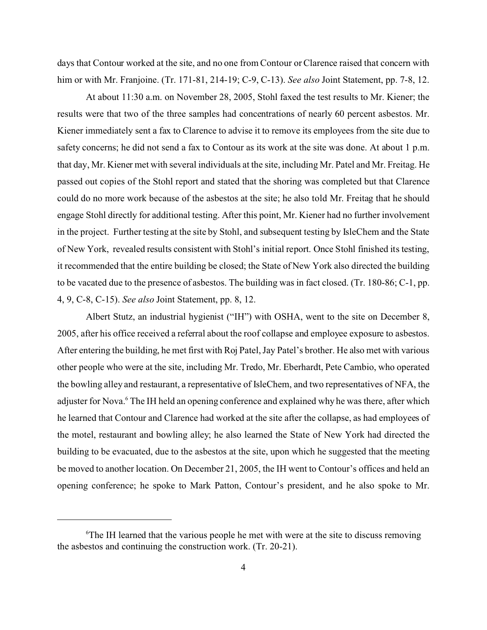days that Contour worked at the site, and no one from Contour or Clarence raised that concern with him or with Mr. Franjoine. (Tr. 171-81, 214-19; C-9, C-13). *See also* Joint Statement, pp. 7-8, 12.

At about 11:30 a.m. on November 28, 2005, Stohl faxed the test results to Mr. Kiener; the results were that two of the three samples had concentrations of nearly 60 percent asbestos. Mr. Kiener immediately sent a fax to Clarence to advise it to remove its employees from the site due to safety concerns; he did not send a fax to Contour as its work at the site was done. At about 1 p.m. that day, Mr. Kiener met with several individuals at the site, including Mr. Patel and Mr. Freitag. He passed out copies of the Stohl report and stated that the shoring was completed but that Clarence could do no more work because of the asbestos at the site; he also told Mr. Freitag that he should engage Stohl directly for additional testing. After this point, Mr. Kiener had no further involvement in the project. Further testing at the site by Stohl, and subsequent testing by IsleChem and the State of New York, revealed results consistent with Stohl's initial report. Once Stohl finished its testing, it recommended that the entire building be closed; the State of New York also directed the building to be vacated due to the presence of asbestos. The building was in fact closed. (Tr. 180-86; C-1, pp. 4, 9, C-8, C-15). *See also* Joint Statement, pp. 8, 12.

Albert Stutz, an industrial hygienist ("IH") with OSHA, went to the site on December 8, 2005, after his office received a referral about the roof collapse and employee exposure to asbestos. After entering the building, he met first with Roj Patel, Jay Patel's brother. He also met with various other people who were at the site, including Mr. Tredo, Mr. Eberhardt, Pete Cambio, who operated the bowling alley and restaurant, a representative of IsleChem, and two representatives of NFA, the adjuster for Nova.<sup>6</sup> The IH held an opening conference and explained why he was there, after which he learned that Contour and Clarence had worked at the site after the collapse, as had employees of the motel, restaurant and bowling alley; he also learned the State of New York had directed the building to be evacuated, due to the asbestos at the site, upon which he suggested that the meeting be moved to another location. On December 21, 2005, the IH went to Contour's offices and held an opening conference; he spoke to Mark Patton, Contour's president, and he also spoke to Mr.

<sup>&</sup>lt;sup>6</sup>The IH learned that the various people he met with were at the site to discuss removing the asbestos and continuing the construction work. (Tr. 20-21).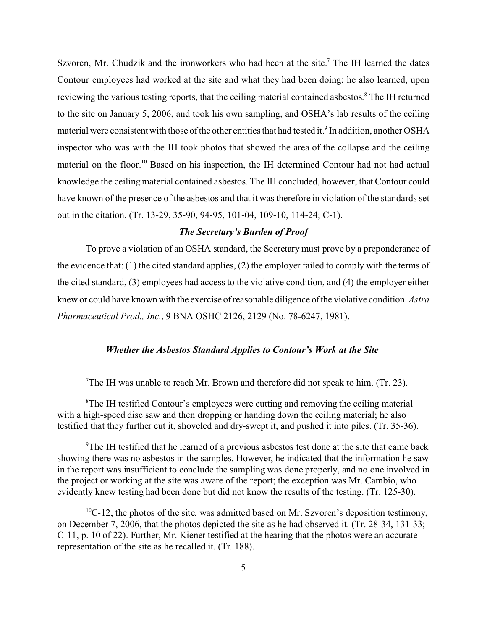Szvoren, Mr. Chudzik and the ironworkers who had been at the site.<sup>7</sup> The IH learned the dates Contour employees had worked at the site and what they had been doing; he also learned, upon reviewing the various testing reports, that the ceiling material contained asbestos.<sup>8</sup> The IH returned to the site on January 5, 2006, and took his own sampling, and OSHA's lab results of the ceiling material were consistent with those of the other entities that had tested it.<sup>9</sup> In addition, another OSHA inspector who was with the IH took photos that showed the area of the collapse and the ceiling material on the floor.<sup>10</sup> Based on his inspection, the IH determined Contour had not had actual knowledge the ceiling material contained asbestos. The IH concluded, however, that Contour could have known of the presence of the asbestos and that it was therefore in violation of the standards set out in the citation. (Tr. 13-29, 35-90, 94-95, 101-04, 109-10, 114-24; C-1).

# *The Secretary's Burden of Proof*

To prove a violation of an OSHA standard, the Secretary must prove by a preponderance of the evidence that: (1) the cited standard applies, (2) the employer failed to comply with the terms of the cited standard, (3) employees had access to the violative condition, and (4) the employer either knew or could have known with the exercise of reasonable diligence of the violative condition. *Astra Pharmaceutical Prod., Inc.*, 9 BNA OSHC 2126, 2129 (No. 78-6247, 1981).

# *Whether the Asbestos Standard Applies to Contour's Work at the Site*

<sup>9</sup>The IH testified that he learned of a previous asbestos test done at the site that came back showing there was no asbestos in the samples. However, he indicated that the information he saw in the report was insufficient to conclude the sampling was done properly, and no one involved in the project or working at the site was aware of the report; the exception was Mr. Cambio, who evidently knew testing had been done but did not know the results of the testing. (Tr. 125-30).

 $10C-12$ , the photos of the site, was admitted based on Mr. Szvoren's deposition testimony, on December 7, 2006, that the photos depicted the site as he had observed it. (Tr. 28-34, 131-33; C-11, p. 10 of 22). Further, Mr. Kiener testified at the hearing that the photos were an accurate representation of the site as he recalled it. (Tr. 188).

<sup>7</sup> The IH was unable to reach Mr. Brown and therefore did not speak to him. (Tr. 23).

<sup>&</sup>lt;sup>8</sup>The IH testified Contour's employees were cutting and removing the ceiling material with a high-speed disc saw and then dropping or handing down the ceiling material; he also testified that they further cut it, shoveled and dry-swept it, and pushed it into piles. (Tr. 35-36).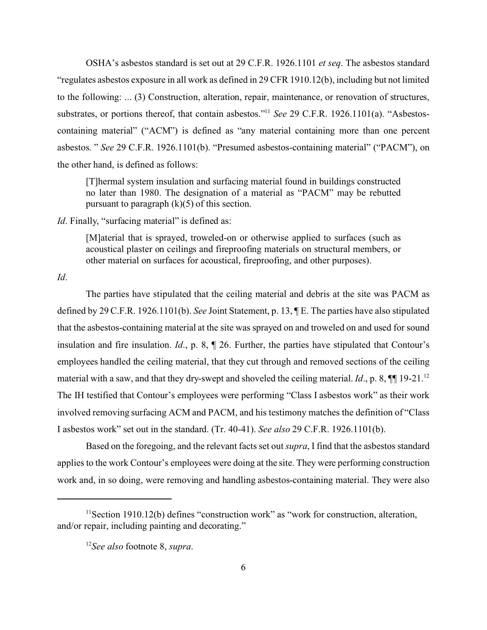OSHA's asbestos standard is set out at 29 C.F.R. 1926.1101 *et seq*. The asbestos standard "regulates asbestos exposure in all work as defined in 29 CFR 1910.12(b), including but not limited to the following: ... (3) Construction, alteration, repair, maintenance, or renovation of structures, substrates, or portions thereof, that contain asbestos."11 *See* 29 C.F.R. 1926.1101(a). "Asbestoscontaining material" ("ACM") is defined as "any material containing more than one percent asbestos. " *See* 29 C.F.R. 1926.1101(b). "Presumed asbestos-containing material" ("PACM"), on the other hand, is defined as follows:

[T]hermal system insulation and surfacing material found in buildings constructed no later than 1980. The designation of a material as "PACM" may be rebutted pursuant to paragraph  $(k)(5)$  of this section.

*Id*. Finally, "surfacing material" is defined as:

[M]aterial that is sprayed, troweled-on or otherwise applied to surfaces (such as acoustical plaster on ceilings and fireproofing materials on structural members, or other material on surfaces for acoustical, fireproofing, and other purposes).

*Id*.

The parties have stipulated that the ceiling material and debris at the site was PACM as defined by 29 C.F.R. 1926.1101(b). *See* Joint Statement, p. 13, ¶ E. The parties have also stipulated that the asbestos-containing material at the site was sprayed on and troweled on and used for sound insulation and fire insulation. *Id*., p. 8, ¶ 26. Further, the parties have stipulated that Contour's employees handled the ceiling material, that they cut through and removed sections of the ceiling material with a saw, and that they dry-swept and shoveled the ceiling material. *Id.*, p. 8,  $\P$ [19-21.<sup>12</sup>] The IH testified that Contour's employees were performing "Class I asbestos work" as their work involved removing surfacing ACM and PACM, and his testimony matches the definition of "Class I asbestos work" set out in the standard. (Tr. 40-41). *See also* 29 C.F.R. 1926.1101(b).

Based on the foregoing, and the relevant facts set out *supra*, I find that the asbestos standard applies to the work Contour's employees were doing at the site. They were performing construction work and, in so doing, were removing and handling asbestos-containing material. They were also

<sup>&</sup>lt;sup>11</sup>Section 1910.12(b) defines "construction work" as "work for construction, alteration, and/or repair, including painting and decorating."

<sup>12</sup>*See also* footnote 8, *supra*.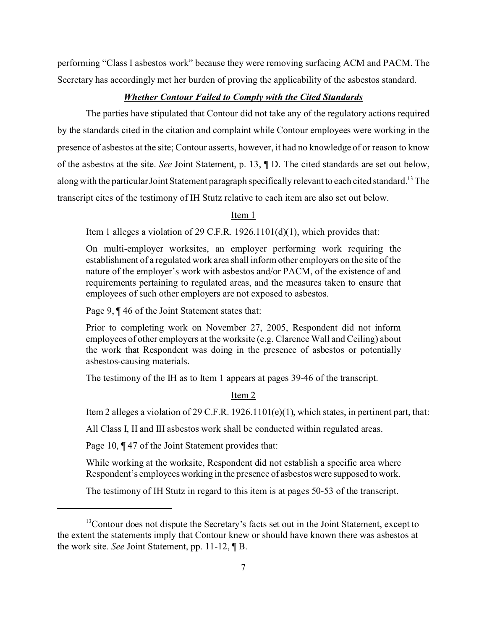performing "Class I asbestos work" because they were removing surfacing ACM and PACM. The Secretary has accordingly met her burden of proving the applicability of the asbestos standard.

# *Whether Contour Failed to Comply with the Cited Standards*

The parties have stipulated that Contour did not take any of the regulatory actions required by the standards cited in the citation and complaint while Contour employees were working in the presence of asbestos at the site; Contour asserts, however, it had no knowledge of or reason to know of the asbestos at the site. *See* Joint Statement, p. 13, ¶ D. The cited standards are set out below, along with the particular Joint Statement paragraph specifically relevant to each cited standard.<sup>13</sup> The transcript cites of the testimony of IH Stutz relative to each item are also set out below.

Item 1

Item 1 alleges a violation of 29 C.F.R. 1926.1101(d)(1), which provides that:

On multi-employer worksites, an employer performing work requiring the establishment of a regulated work area shall inform other employers on the site of the nature of the employer's work with asbestos and/or PACM, of the existence of and requirements pertaining to regulated areas, and the measures taken to ensure that employees of such other employers are not exposed to asbestos.

Page 9, ¶ 46 of the Joint Statement states that:

Prior to completing work on November 27, 2005, Respondent did not inform employees of other employers at the worksite (e.g. Clarence Wall and Ceiling) about the work that Respondent was doing in the presence of asbestos or potentially asbestos-causing materials.

The testimony of the IH as to Item 1 appears at pages 39-46 of the transcript.

### Item 2

Item 2 alleges a violation of 29 C.F.R.  $1926.1101(e)(1)$ , which states, in pertinent part, that:

All Class I, II and III asbestos work shall be conducted within regulated areas.

Page 10,  $\P$  47 of the Joint Statement provides that:

While working at the worksite, Respondent did not establish a specific area where Respondent's employees working in the presence of asbestos were supposed to work.

The testimony of IH Stutz in regard to this item is at pages 50-53 of the transcript.

<sup>&</sup>lt;sup>13</sup>Contour does not dispute the Secretary's facts set out in the Joint Statement, except to the extent the statements imply that Contour knew or should have known there was asbestos at the work site. *See* Joint Statement, pp. 11-12, ¶ B.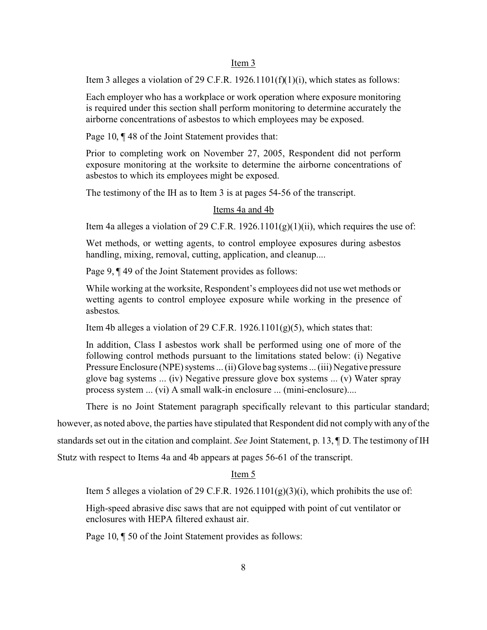#### Item 3

Item 3 alleges a violation of 29 C.F.R.  $1926.1101(f)(1)(i)$ , which states as follows:

Each employer who has a workplace or work operation where exposure monitoring is required under this section shall perform monitoring to determine accurately the airborne concentrations of asbestos to which employees may be exposed.

Page 10, ¶ 48 of the Joint Statement provides that:

Prior to completing work on November 27, 2005, Respondent did not perform exposure monitoring at the worksite to determine the airborne concentrations of asbestos to which its employees might be exposed.

The testimony of the IH as to Item 3 is at pages 54-56 of the transcript.

### Items 4a and 4b

Item 4a alleges a violation of 29 C.F.R.  $1926.1101(g)(1)(ii)$ , which requires the use of:

Wet methods, or wetting agents, to control employee exposures during asbestos handling, mixing, removal, cutting, application, and cleanup....

Page 9, ¶ 49 of the Joint Statement provides as follows:

While working at the worksite, Respondent's employees did not use wet methods or wetting agents to control employee exposure while working in the presence of asbestos.

Item 4b alleges a violation of 29 C.F.R. 1926.1101(g)(5), which states that:

In addition, Class I asbestos work shall be performed using one of more of the following control methods pursuant to the limitations stated below: (i) Negative Pressure Enclosure (NPE) systems ... (ii) Glove bag systems ... (iii) Negative pressure glove bag systems ... (iv) Negative pressure glove box systems ... (v) Water spray process system ... (vi) A small walk-in enclosure ... (mini-enclosure)....

There is no Joint Statement paragraph specifically relevant to this particular standard;

however, as noted above, the parties have stipulated that Respondent did not comply with any of the

standards set out in the citation and complaint. *See* Joint Statement, p. 13, ¶ D. The testimony of IH

Stutz with respect to Items 4a and 4b appears at pages 56-61 of the transcript.

# Item 5

Item 5 alleges a violation of 29 C.F.R.  $1926.1101(g)(3)(i)$ , which prohibits the use of:

High-speed abrasive disc saws that are not equipped with point of cut ventilator or enclosures with HEPA filtered exhaust air.

Page 10, ¶ 50 of the Joint Statement provides as follows: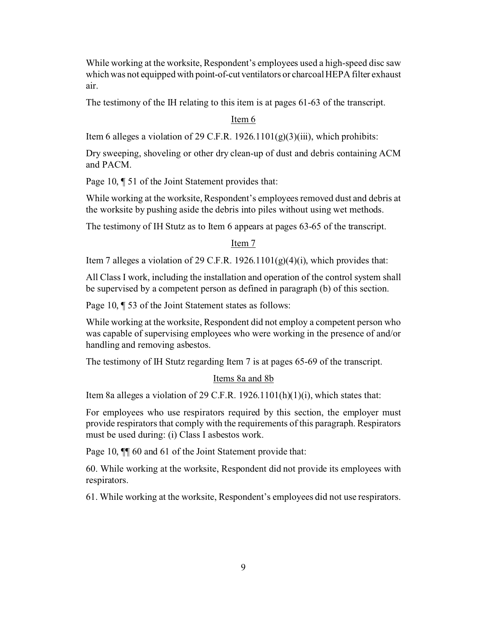While working at the worksite, Respondent's employees used a high-speed disc saw which was not equipped with point-of-cut ventilators or charcoal HEPA filter exhaust air.

The testimony of the IH relating to this item is at pages 61-63 of the transcript.

### Item 6

Item 6 alleges a violation of 29 C.F.R.  $1926.1101(g)(3)(iii)$ , which prohibits:

Dry sweeping, shoveling or other dry clean-up of dust and debris containing ACM and PACM.

Page 10, ¶ 51 of the Joint Statement provides that:

While working at the worksite, Respondent's employees removed dust and debris at the worksite by pushing aside the debris into piles without using wet methods.

The testimony of IH Stutz as to Item 6 appears at pages 63-65 of the transcript.

Item 7

Item 7 alleges a violation of 29 C.F.R.  $1926.1101(g)(4)(i)$ , which provides that:

All Class I work, including the installation and operation of the control system shall be supervised by a competent person as defined in paragraph (b) of this section.

Page 10, ¶ 53 of the Joint Statement states as follows:

While working at the worksite, Respondent did not employ a competent person who was capable of supervising employees who were working in the presence of and/or handling and removing asbestos.

The testimony of IH Stutz regarding Item 7 is at pages 65-69 of the transcript.

### Items 8a and 8b

Item 8a alleges a violation of 29 C.F.R. 1926.1101(h)(1)(i), which states that:

For employees who use respirators required by this section, the employer must provide respirators that comply with the requirements of this paragraph. Respirators must be used during: (i) Class I asbestos work.

Page 10,  $\P$  60 and 61 of the Joint Statement provide that:

60. While working at the worksite, Respondent did not provide its employees with respirators.

61. While working at the worksite, Respondent's employees did not use respirators.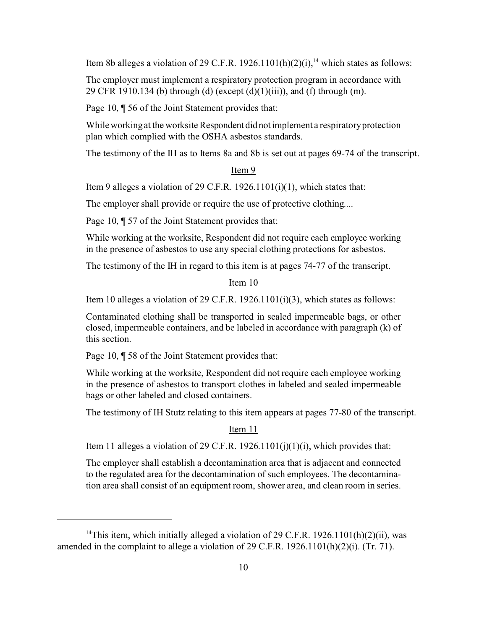Item 8b alleges a violation of 29 C.F.R. 1926.1101(h)(2)(i),<sup>14</sup> which states as follows:

The employer must implement a respiratory protection program in accordance with 29 CFR 1910.134 (b) through (d) (except (d)(1)(iii)), and (f) through (m).

Page 10, ¶ 56 of the Joint Statement provides that:

While working at the worksite Respondent did not implement a respiratory protection plan which complied with the OSHA asbestos standards.

The testimony of the IH as to Items 8a and 8b is set out at pages 69-74 of the transcript.

### Item 9

Item 9 alleges a violation of 29 C.F.R. 1926.1101(i)(1), which states that:

The employer shall provide or require the use of protective clothing....

Page 10, ¶ 57 of the Joint Statement provides that:

While working at the worksite, Respondent did not require each employee working in the presence of asbestos to use any special clothing protections for asbestos.

The testimony of the IH in regard to this item is at pages 74-77 of the transcript.

### Item 10

Item 10 alleges a violation of 29 C.F.R. 1926.1101(i)(3), which states as follows:

Contaminated clothing shall be transported in sealed impermeable bags, or other closed, impermeable containers, and be labeled in accordance with paragraph (k) of this section.

Page 10, ¶ 58 of the Joint Statement provides that:

While working at the worksite, Respondent did not require each employee working in the presence of asbestos to transport clothes in labeled and sealed impermeable bags or other labeled and closed containers.

The testimony of IH Stutz relating to this item appears at pages 77-80 of the transcript.

Item 11

Item 11 alleges a violation of 29 C.F.R. 1926.1101(j)(1)(i), which provides that:

The employer shall establish a decontamination area that is adjacent and connected to the regulated area for the decontamination of such employees. The decontamination area shall consist of an equipment room, shower area, and clean room in series.

<sup>&</sup>lt;sup>14</sup>This item, which initially alleged a violation of 29 C.F.R. 1926.1101(h)(2)(ii), was amended in the complaint to allege a violation of 29 C.F.R. 1926.1101(h)(2)(i). (Tr. 71).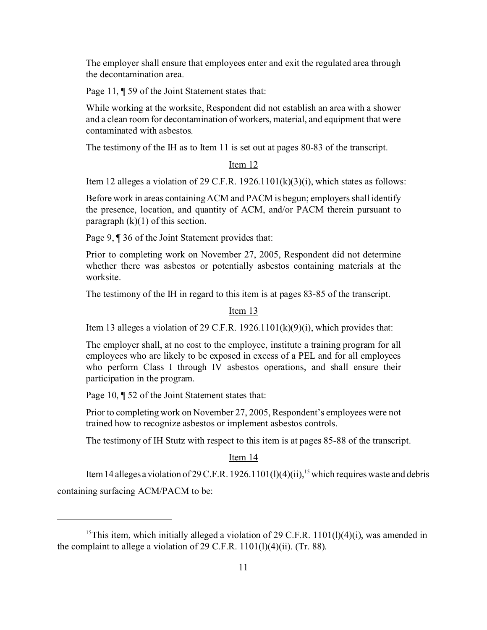The employer shall ensure that employees enter and exit the regulated area through the decontamination area.

Page 11, ¶ 59 of the Joint Statement states that:

While working at the worksite, Respondent did not establish an area with a shower and a clean room for decontamination of workers, material, and equipment that were contaminated with asbestos.

The testimony of the IH as to Item 11 is set out at pages 80-83 of the transcript.

### Item 12

Item 12 alleges a violation of 29 C.F.R. 1926.1101 $(k)(3)(i)$ , which states as follows:

Before work in areas containing ACM and PACM is begun; employers shall identify the presence, location, and quantity of ACM, and/or PACM therein pursuant to paragraph  $(k)(1)$  of this section.

Page 9, ¶ 36 of the Joint Statement provides that:

Prior to completing work on November 27, 2005, Respondent did not determine whether there was asbestos or potentially asbestos containing materials at the worksite.

The testimony of the IH in regard to this item is at pages 83-85 of the transcript.

## Item 13

Item 13 alleges a violation of 29 C.F.R. 1926.1101 $(k)(9)(i)$ , which provides that:

The employer shall, at no cost to the employee, institute a training program for all employees who are likely to be exposed in excess of a PEL and for all employees who perform Class I through IV asbestos operations, and shall ensure their participation in the program.

Page 10, ¶ 52 of the Joint Statement states that:

Prior to completing work on November 27, 2005, Respondent's employees were not trained how to recognize asbestos or implement asbestos controls.

The testimony of IH Stutz with respect to this item is at pages 85-88 of the transcript.

### Item 14

Item 14 alleges a violation of 29 C.F.R. 1926.1101(1)(4)(ii), <sup>15</sup> which requires waste and debris containing surfacing ACM/PACM to be:

<sup>&</sup>lt;sup>15</sup>This item, which initially alleged a violation of 29 C.F.R.  $1101(1)(4)(i)$ , was amended in the complaint to allege a violation of 29 C.F.R.  $1101(1)(4)(ii)$ . (Tr. 88).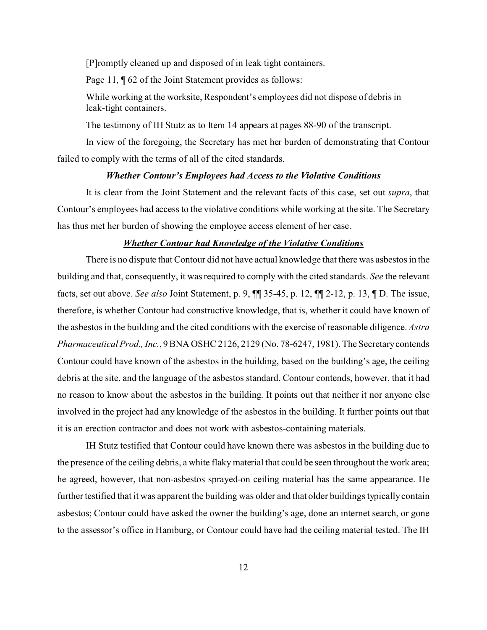[P]romptly cleaned up and disposed of in leak tight containers.

Page 11,  $\P$  62 of the Joint Statement provides as follows:

While working at the worksite, Respondent's employees did not dispose of debris in leak-tight containers.

The testimony of IH Stutz as to Item 14 appears at pages 88-90 of the transcript.

In view of the foregoing, the Secretary has met her burden of demonstrating that Contour failed to comply with the terms of all of the cited standards.

## *Whether Contour's Employees had Access to the Violative Conditions*

It is clear from the Joint Statement and the relevant facts of this case, set out *supra*, that Contour's employees had access to the violative conditions while working at the site. The Secretary has thus met her burden of showing the employee access element of her case.

## *Whether Contour had Knowledge of the Violative Conditions*

There is no dispute that Contour did not have actual knowledge that there was asbestos in the building and that, consequently, it was required to comply with the cited standards. *See* the relevant facts, set out above. *See also* Joint Statement, p. 9, ¶¶ 35-45, p. 12, ¶¶ 2-12, p. 13, ¶ D. The issue, therefore, is whether Contour had constructive knowledge, that is, whether it could have known of the asbestos in the building and the cited conditions with the exercise of reasonable diligence. *Astra Pharmaceutical Prod., Inc.*, 9 BNA OSHC 2126, 2129 (No. 78-6247, 1981). The Secretary contends Contour could have known of the asbestos in the building, based on the building's age, the ceiling debris at the site, and the language of the asbestos standard. Contour contends, however, that it had no reason to know about the asbestos in the building. It points out that neither it nor anyone else involved in the project had any knowledge of the asbestos in the building. It further points out that it is an erection contractor and does not work with asbestos-containing materials.

IH Stutz testified that Contour could have known there was asbestos in the building due to the presence of the ceiling debris, a white flaky material that could be seen throughout the work area; he agreed, however, that non-asbestos sprayed-on ceiling material has the same appearance. He further testified that it was apparent the building was older and that older buildings typically contain asbestos; Contour could have asked the owner the building's age, done an internet search, or gone to the assessor's office in Hamburg, or Contour could have had the ceiling material tested. The IH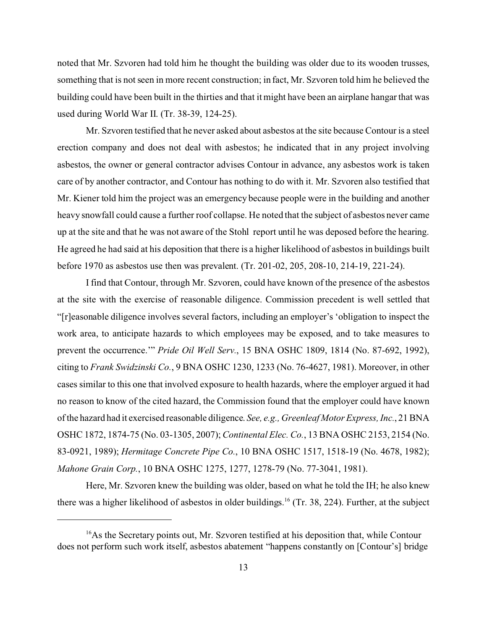noted that Mr. Szvoren had told him he thought the building was older due to its wooden trusses, something that is not seen in more recent construction; in fact, Mr. Szvoren told him he believed the building could have been built in the thirties and that it might have been an airplane hangar that was used during World War II. (Tr. 38-39, 124-25).

Mr. Szvoren testified that he never asked about asbestos at the site because Contour is a steel erection company and does not deal with asbestos; he indicated that in any project involving asbestos, the owner or general contractor advises Contour in advance, any asbestos work is taken care of by another contractor, and Contour has nothing to do with it. Mr. Szvoren also testified that Mr. Kiener told him the project was an emergency because people were in the building and another heavy snowfall could cause a further roof collapse. He noted that the subject of asbestos never came up at the site and that he was not aware of the Stohl report until he was deposed before the hearing. He agreed he had said at his deposition that there is a higher likelihood of asbestos in buildings built before 1970 as asbestos use then was prevalent. (Tr. 201-02, 205, 208-10, 214-19, 221-24).

I find that Contour, through Mr. Szvoren, could have known of the presence of the asbestos at the site with the exercise of reasonable diligence. Commission precedent is well settled that "[r]easonable diligence involves several factors, including an employer's 'obligation to inspect the work area, to anticipate hazards to which employees may be exposed, and to take measures to prevent the occurrence.'" *Pride Oil Well Serv.*, 15 BNA OSHC 1809, 1814 (No. 87-692, 1992), citing to *Frank Swidzinski Co.*, 9 BNA OSHC 1230, 1233 (No. 76-4627, 1981). Moreover, in other cases similar to this one that involved exposure to health hazards, where the employer argued it had no reason to know of the cited hazard, the Commission found that the employer could have known of the hazard had it exercised reasonable diligence. *See, e.g., Greenleaf Motor Express, Inc.*, 21 BNA OSHC 1872, 1874-75 (No. 03-1305, 2007); *Continental Elec. Co.*, 13 BNA OSHC 2153, 2154 (No. 83-0921, 1989); *Hermitage Concrete Pipe Co.*, 10 BNA OSHC 1517, 1518-19 (No. 4678, 1982); *Mahone Grain Corp.*, 10 BNA OSHC 1275, 1277, 1278-79 (No. 77-3041, 1981).

Here, Mr. Szvoren knew the building was older, based on what he told the IH; he also knew there was a higher likelihood of asbestos in older buildings.<sup>16</sup> (Tr. 38, 224). Further, at the subject

 $16$ As the Secretary points out, Mr. Szvoren testified at his deposition that, while Contour does not perform such work itself, asbestos abatement "happens constantly on [Contour's] bridge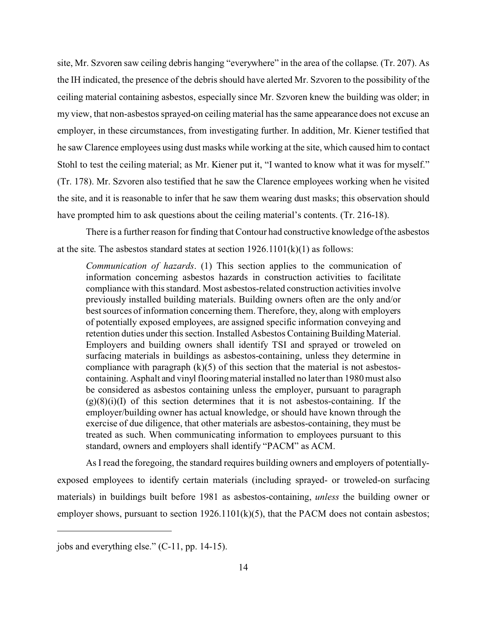site, Mr. Szvoren saw ceiling debris hanging "everywhere" in the area of the collapse. (Tr. 207). As the IH indicated, the presence of the debris should have alerted Mr. Szvoren to the possibility of the ceiling material containing asbestos, especially since Mr. Szvoren knew the building was older; in my view, that non-asbestos sprayed-on ceiling material has the same appearance does not excuse an employer, in these circumstances, from investigating further. In addition, Mr. Kiener testified that he saw Clarence employees using dust masks while working at the site, which caused him to contact Stohl to test the ceiling material; as Mr. Kiener put it, "I wanted to know what it was for myself." (Tr. 178). Mr. Szvoren also testified that he saw the Clarence employees working when he visited the site, and it is reasonable to infer that he saw them wearing dust masks; this observation should have prompted him to ask questions about the ceiling material's contents. (Tr. 216-18).

There is a further reason for finding that Contour had constructive knowledge of the asbestos at the site. The asbestos standard states at section  $1926.1101(k)(1)$  as follows:

*Communication of hazards*. (1) This section applies to the communication of information concerning asbestos hazards in construction activities to facilitate compliance with this standard. Most asbestos-related construction activities involve previously installed building materials. Building owners often are the only and/or best sources of information concerning them. Therefore, they, along with employers of potentially exposed employees, are assigned specific information conveying and retention duties under this section. Installed Asbestos Containing Building Material. Employers and building owners shall identify TSI and sprayed or troweled on surfacing materials in buildings as asbestos-containing, unless they determine in compliance with paragraph  $(k)(5)$  of this section that the material is not asbestoscontaining. Asphalt and vinyl flooring material installed no later than 1980 must also be considered as asbestos containing unless the employer, pursuant to paragraph  $(g)(8)(i)(I)$  of this section determines that it is not asbestos-containing. If the employer/building owner has actual knowledge, or should have known through the exercise of due diligence, that other materials are asbestos-containing, they must be treated as such. When communicating information to employees pursuant to this standard, owners and employers shall identify "PACM" as ACM.

As I read the foregoing, the standard requires building owners and employers of potentiallyexposed employees to identify certain materials (including sprayed- or troweled-on surfacing materials) in buildings built before 1981 as asbestos-containing, *unless* the building owner or employer shows, pursuant to section 1926.1101(k)(5), that the PACM does not contain asbestos;

jobs and everything else." (C-11, pp. 14-15).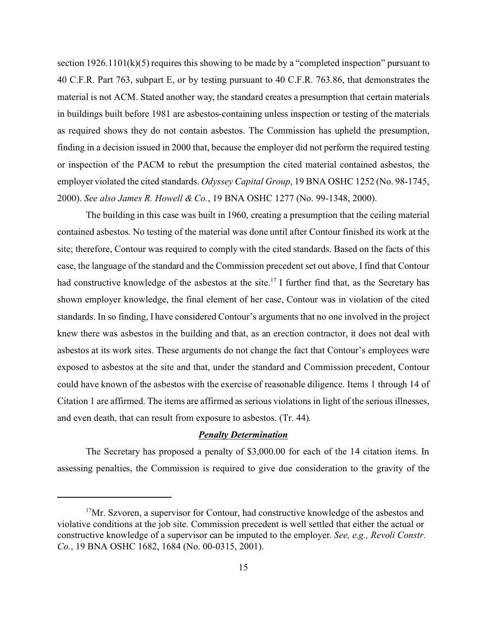section 1926.1101(k)(5) requires this showing to be made by a "completed inspection" pursuant to 40 C.F.R. Part 763, subpart E, or by testing pursuant to 40 C.F.R. 763.86, that demonstrates the material is not ACM. Stated another way, the standard creates a presumption that certain materials in buildings built before 1981 are asbestos-containing unless inspection or testing of the materials as required shows they do not contain asbestos. The Commission has upheld the presumption, finding in a decision issued in 2000 that, because the employer did not perform the required testing or inspection of the PACM to rebut the presumption the cited material contained asbestos, the employer violated the cited standards. *Odyssey Capital Group*, 19 BNA OSHC 1252 (No. 98-1745, 2000). *See also James R. Howell & Co.*, 19 BNA OSHC 1277 (No. 99-1348, 2000).

The building in this case was built in 1960, creating a presumption that the ceiling material contained asbestos. No testing of the material was done until after Contour finished its work at the site; therefore, Contour was required to comply with the cited standards. Based on the facts of this case, the language of the standard and the Commission precedent set out above, I find that Contour had constructive knowledge of the asbestos at the site.<sup>17</sup> I further find that, as the Secretary has shown employer knowledge, the final element of her case, Contour was in violation of the cited standards. In so finding, I have considered Contour's arguments that no one involved in the project knew there was asbestos in the building and that, as an erection contractor, it does not deal with asbestos at its work sites. These arguments do not change the fact that Contour's employees were exposed to asbestos at the site and that, under the standard and Commission precedent, Contour could have known of the asbestos with the exercise of reasonable diligence. Items 1 through 14 of Citation 1 are affirmed. The items are affirmed as serious violations in light of the serious illnesses, and even death, that can result from exposure to asbestos. (Tr. 44).

#### *Penalty Determination*

The Secretary has proposed a penalty of \$3,000.00 for each of the 14 citation items. In assessing penalties, the Commission is required to give due consideration to the gravity of the

 $17$ Mr. Szvoren, a supervisor for Contour, had constructive knowledge of the asbestos and violative conditions at the job site. Commission precedent is well settled that either the actual or constructive knowledge of a supervisor can be imputed to the employer. *See, e.g., Revoli Constr. Co.*, 19 BNA OSHC 1682, 1684 (No. 00-0315, 2001).